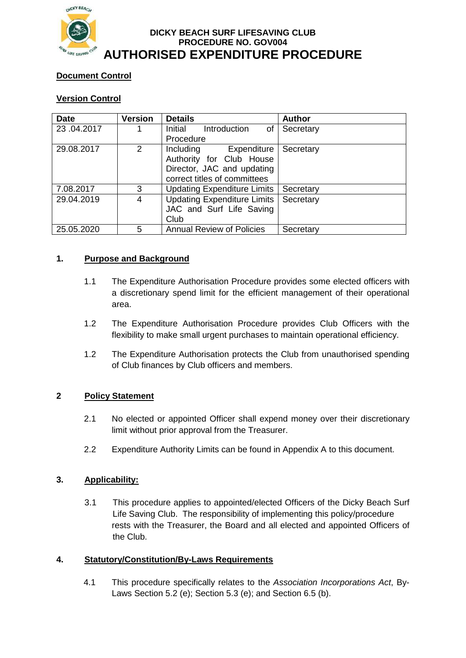

#### **DICKY BEACH SURF LIFESAVING CLUB PROCEDURE NO. GOV004 AUTHORISED EXPENDITURE PROCEDURE**

# **Document Control**

# **Version Control**

| <b>Date</b> | <b>Version</b> | <b>Details</b>                     | <b>Author</b> |  |  |
|-------------|----------------|------------------------------------|---------------|--|--|
| 23.04.2017  |                | Initial<br>Introduction<br>0f      | Secretary     |  |  |
|             |                | Procedure                          |               |  |  |
| 29.08.2017  | 2              | Including<br>Expenditure           | Secretary     |  |  |
|             |                | Authority for Club House           |               |  |  |
|             |                | Director, JAC and updating         |               |  |  |
|             |                | correct titles of committees       |               |  |  |
| 7.08.2017   | 3              | <b>Updating Expenditure Limits</b> | Secretary     |  |  |
| 29.04.2019  | 4              | <b>Updating Expenditure Limits</b> | Secretary     |  |  |
|             |                | JAC and Surf Life Saving           |               |  |  |
|             |                | Club                               |               |  |  |
| 25.05.2020  | 5              | <b>Annual Review of Policies</b>   | Secretary     |  |  |

### **1. Purpose and Background**

- 1.1 The Expenditure Authorisation Procedure provides some elected officers with a discretionary spend limit for the efficient management of their operational area.
- 1.2 The Expenditure Authorisation Procedure provides Club Officers with the flexibility to make small urgent purchases to maintain operational efficiency.
- 1.2 The Expenditure Authorisation protects the Club from unauthorised spending of Club finances by Club officers and members.

### **2 Policy Statement**

- 2.1 No elected or appointed Officer shall expend money over their discretionary limit without prior approval from the Treasurer.
- 2.2 Expenditure Authority Limits can be found in Appendix A to this document.

### **3. Applicability:**

3.1 This procedure applies to appointed/elected Officers of the Dicky Beach Surf Life Saving Club. The responsibility of implementing this policy/procedure rests with the Treasurer, the Board and all elected and appointed Officers of the Club.

### **4. Statutory/Constitution/By-Laws Requirements**

4.1 This procedure specifically relates to the *Association Incorporations Act*, By-Laws Section 5.2 (e); Section 5.3 (e); and Section 6.5 (b).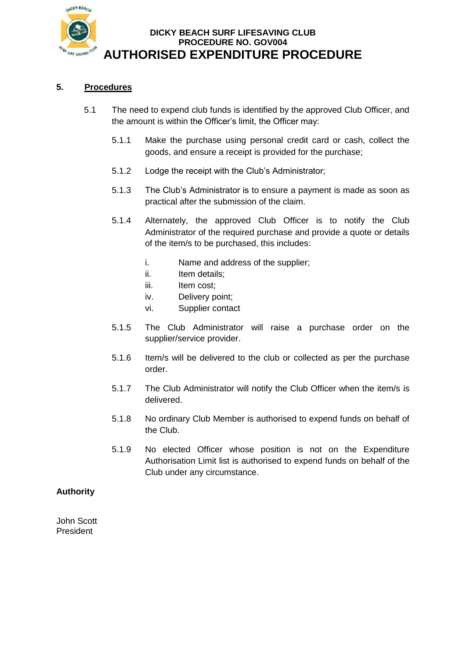

# **DICKY BEACH SURF LIFESAVING CLUB PROCEDURE NO. GOV004 AUTHORISED EXPENDITURE PROCEDURE**

#### **5. Procedures**

- 5.1 The need to expend club funds is identified by the approved Club Officer, and the amount is within the Officer's limit, the Officer may:
	- 5.1.1 Make the purchase using personal credit card or cash, collect the goods, and ensure a receipt is provided for the purchase;
	- 5.1.2 Lodge the receipt with the Club's Administrator;
	- 5.1.3 The Club's Administrator is to ensure a payment is made as soon as practical after the submission of the claim.
	- 5.1.4 Alternately, the approved Club Officer is to notify the Club Administrator of the required purchase and provide a quote or details of the item/s to be purchased, this includes:
		- i. Name and address of the supplier;
		- ii. Item details;
		- iii. Item cost;
		- iv. Delivery point;
		- vi. Supplier contact
	- 5.1.5 The Club Administrator will raise a purchase order on the supplier/service provider.
	- 5.1.6 Item/s will be delivered to the club or collected as per the purchase order.
	- 5.1.7 The Club Administrator will notify the Club Officer when the item/s is delivered.
	- 5.1.8 No ordinary Club Member is authorised to expend funds on behalf of the Club.
	- 5.1.9 No elected Officer whose position is not on the Expenditure Authorisation Limit list is authorised to expend funds on behalf of the Club under any circumstance.

#### **Authority**

John Scott President